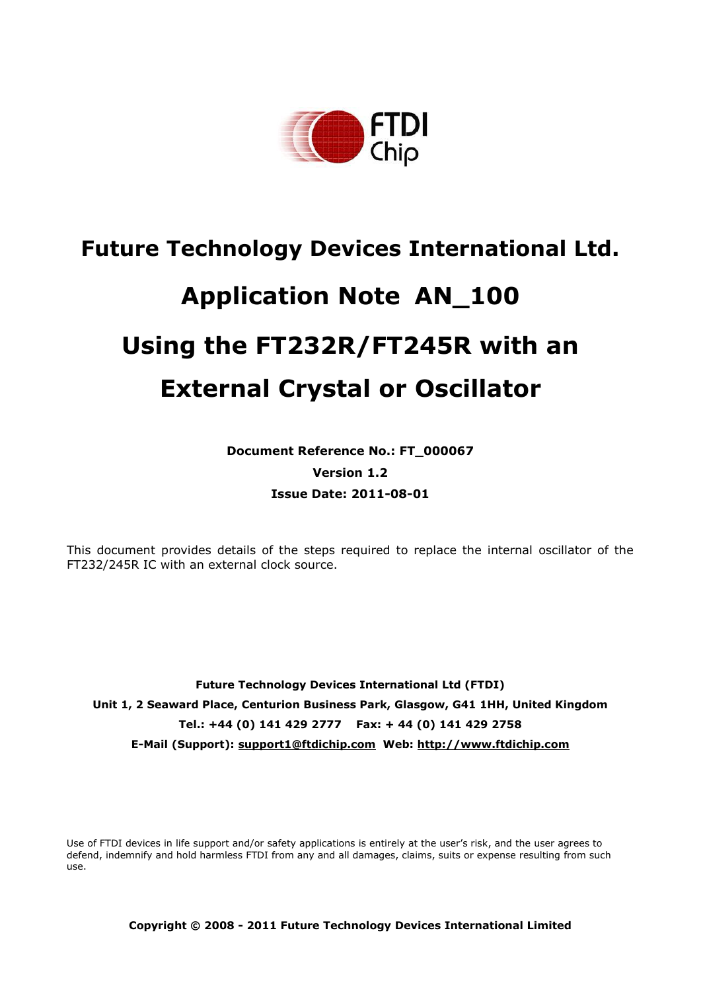

# **Future Technology Devices International Ltd. Application Note AN\_100 Using the FT232R/FT245R with an External Crystal or Oscillator**

**Document Reference No.: FT\_000067 Version 1.2 Issue Date: 2011-08-01**

This document provides details of the steps required to replace the internal oscillator of the FT232/245R IC with an external clock source.

**Future Technology Devices International Ltd (FTDI) Unit 1, 2 Seaward Place, Centurion Business Park, Glasgow, G41 1HH, United Kingdom Tel.: +44 (0) 141 429 2777 Fax: + 44 (0) 141 429 2758 E-Mail (Support): support1@ftdichip.com Web: http://www.ftdichip.com**

Use of FTDI devices in life support and/or safety applications is entirely at the user"s risk, and the user agrees to defend, indemnify and hold harmless FTDI from any and all damages, claims, suits or expense resulting from such use.

**Copyright © 2008 - 2011 Future Technology Devices International Limited**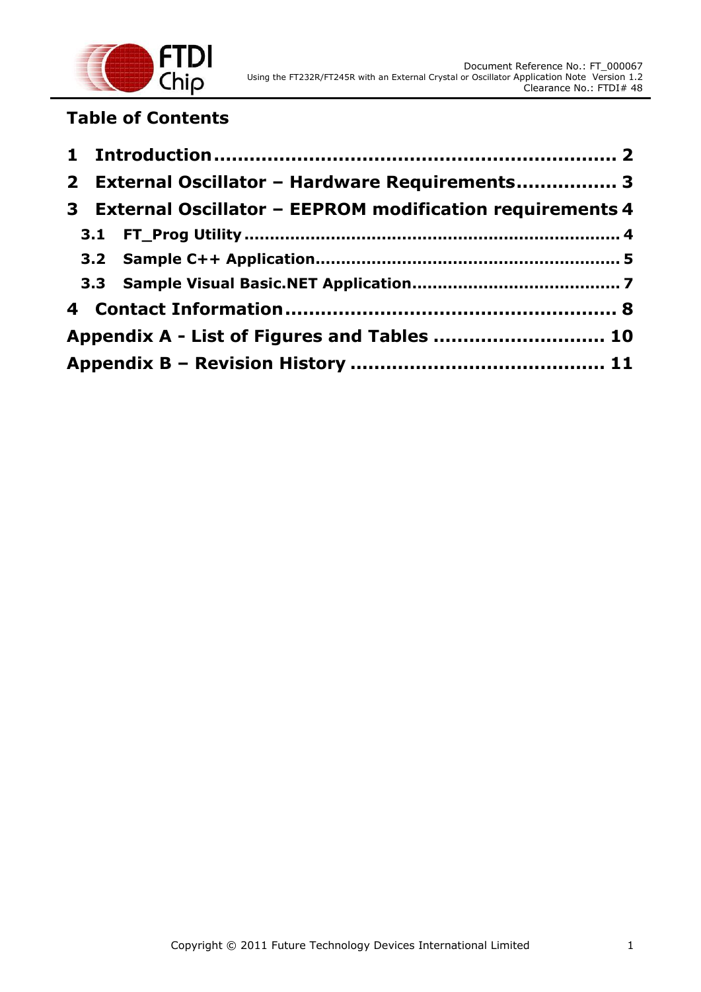

# **Table of Contents**

|                                             |  | 2 External Oscillator - Hardware Requirements 3            |  |  |  |
|---------------------------------------------|--|------------------------------------------------------------|--|--|--|
|                                             |  | 3 External Oscillator - EEPROM modification requirements 4 |  |  |  |
|                                             |  |                                                            |  |  |  |
|                                             |  |                                                            |  |  |  |
|                                             |  |                                                            |  |  |  |
|                                             |  |                                                            |  |  |  |
| Appendix A - List of Figures and Tables  10 |  |                                                            |  |  |  |
|                                             |  |                                                            |  |  |  |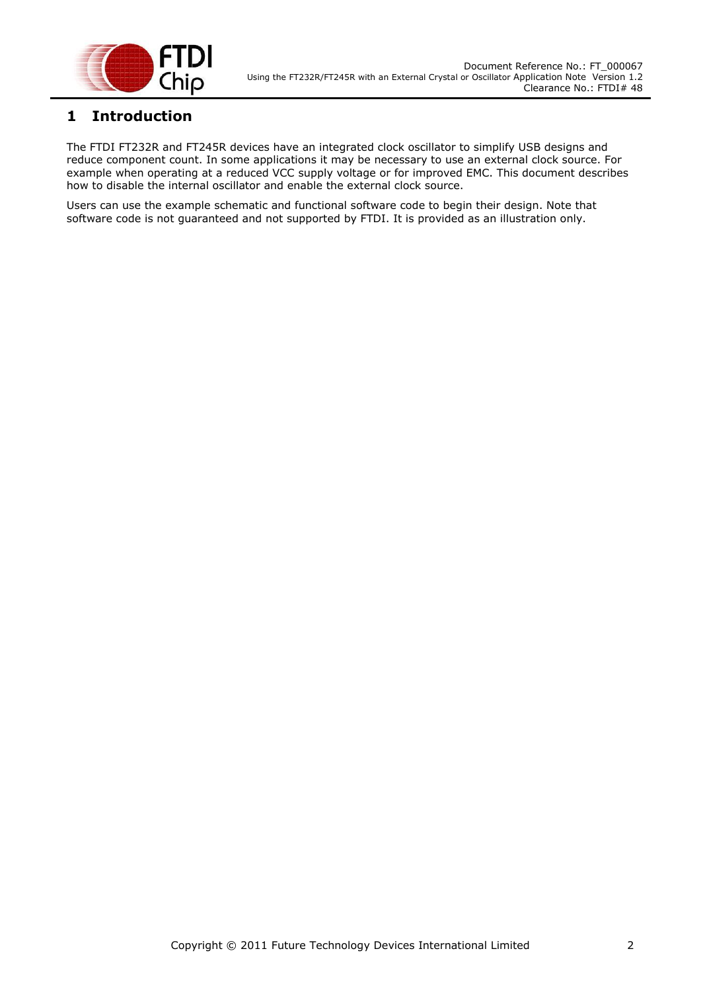

## <span id="page-2-0"></span>**1 Introduction**

The FTDI FT232R and FT245R devices have an integrated clock oscillator to simplify USB designs and reduce component count. In some applications it may be necessary to use an external clock source. For example when operating at a reduced VCC supply voltage or for improved EMC. This document describes how to disable the internal oscillator and enable the external clock source.

Users can use the example schematic and functional software code to begin their design. Note that software code is not guaranteed and not supported by FTDI. It is provided as an illustration only.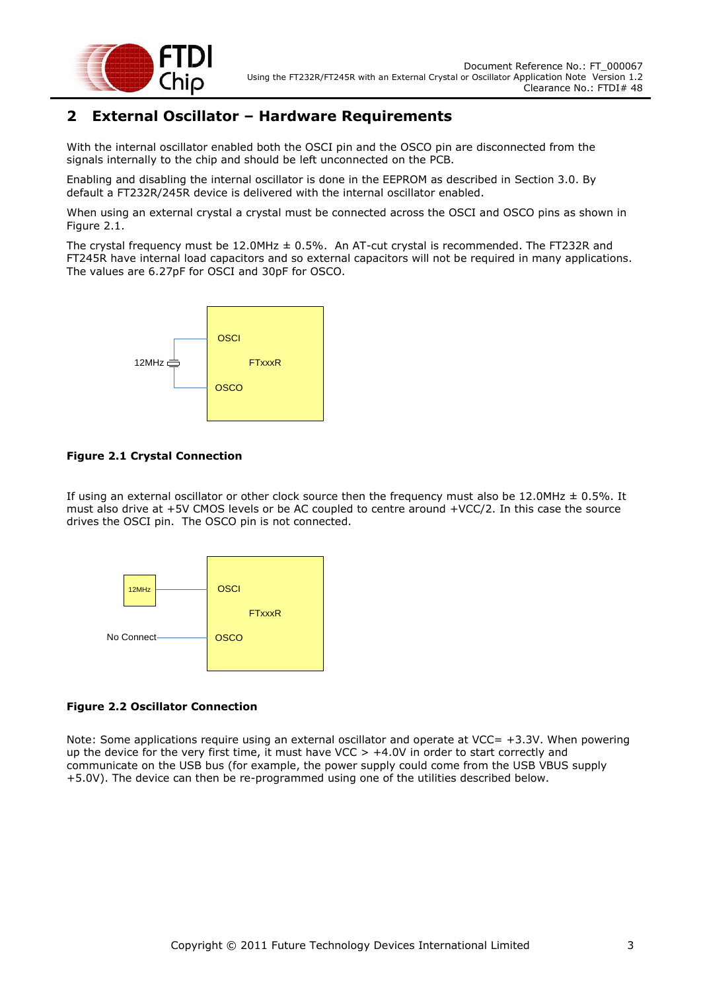

## <span id="page-3-0"></span>**2 External Oscillator – Hardware Requirements**

With the internal oscillator enabled both the OSCI pin and the OSCO pin are disconnected from the signals internally to the chip and should be left unconnected on the PCB.

Enabling and disabling the internal oscillator is done in the EEPROM as described in Section 3.0. By default a FT232R/245R device is delivered with the internal oscillator enabled.

When using an external crystal a crystal must be connected across the OSCI and OSCO pins as shown in [Figure 2.1.](#page-3-1)

The crystal frequency must be 12.0MHz ± 0.5%. An AT-cut crystal is recommended. The FT232R and FT245R have internal load capacitors and so external capacitors will not be required in many applications. The values are 6.27pF for OSCI and 30pF for OSCO.



#### <span id="page-3-1"></span>**Figure 2.1 Crystal Connection**

If using an external oscillator or other clock source then the frequency must also be 12.0MHz  $\pm$  0.5%. It must also drive at +5V CMOS levels or be AC coupled to centre around +VCC/2. In this case the source drives the OSCI pin. The OSCO pin is not connected.



#### <span id="page-3-2"></span>**Figure 2.2 Oscillator Connection**

Note: Some applications require using an external oscillator and operate at VCC= +3.3V. When powering up the device for the very first time, it must have VCC > +4.0V in order to start correctly and communicate on the USB bus (for example, the power supply could come from the USB VBUS supply +5.0V). The device can then be re-programmed using one of the utilities described below.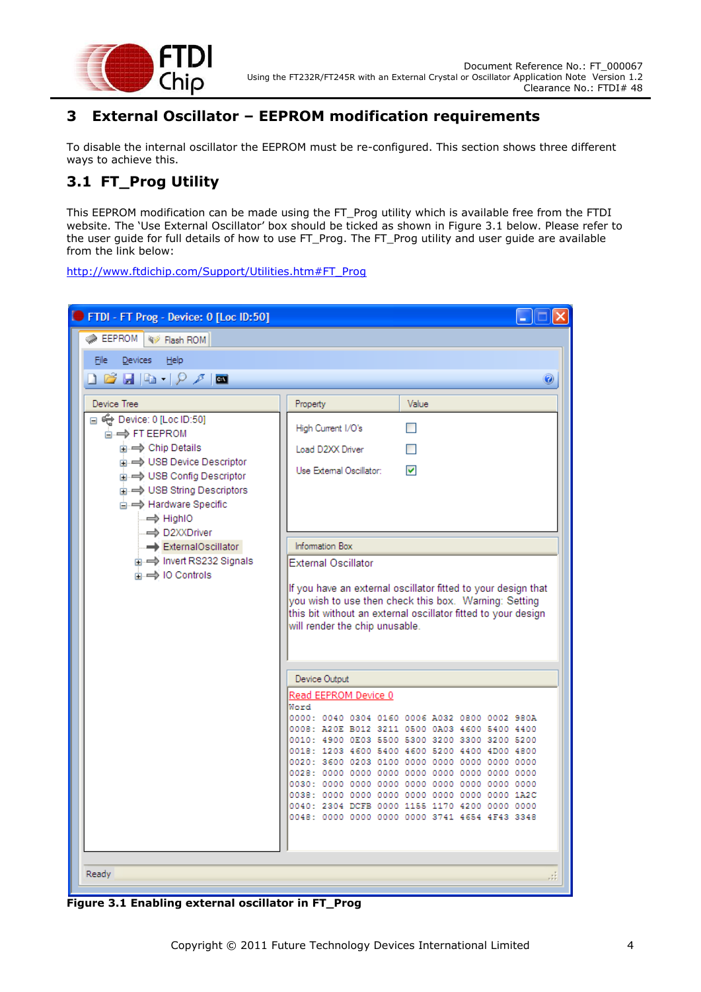

## <span id="page-4-0"></span>**3 External Oscillator – EEPROM modification requirements**

To disable the internal oscillator the EEPROM must be re-configured. This section shows three different ways to achieve this.

## <span id="page-4-1"></span>**3.1 FT\_Prog Utility**

This EEPROM modification can be made using the FT\_Prog utility which is available free from the FTDI website. The 'Use External Oscillator' box should be ticked as shown in [Figure 3.1](#page-4-2) below. Please refer to the user guide for full details of how to use FT\_Prog. The FT\_Prog utility and user guide are available from the link below:

[http://www.ftdichip.com/Support/Utilities.htm#FT\\_Prog](http://www.ftdichip.com/Support/Utilities.htm#FT_Prog)

| FTDI - FT Prog - Device: 0 [Loc ID:50]                                                                                                                                                                |                                                                                                                                                                                                                                                   |  |  |  |  |  |  |  |  |  |
|-------------------------------------------------------------------------------------------------------------------------------------------------------------------------------------------------------|---------------------------------------------------------------------------------------------------------------------------------------------------------------------------------------------------------------------------------------------------|--|--|--|--|--|--|--|--|--|
| EEPROM<br>Flash ROM                                                                                                                                                                                   |                                                                                                                                                                                                                                                   |  |  |  |  |  |  |  |  |  |
| Devices<br>Help<br>File                                                                                                                                                                               |                                                                                                                                                                                                                                                   |  |  |  |  |  |  |  |  |  |
| Q 28 B   Q →   <i>Q →</i>   ⊠                                                                                                                                                                         | 0                                                                                                                                                                                                                                                 |  |  |  |  |  |  |  |  |  |
| Device Tree                                                                                                                                                                                           | Property<br>Value                                                                                                                                                                                                                                 |  |  |  |  |  |  |  |  |  |
| □ ← Device: 0 [Loc ID:50]<br><b>E-</b> FT EEPROM<br><b>E</b> $\Rightarrow$ Chip Details                                                                                                               | High Current I/O's<br>П<br>Load D2XX Driver                                                                                                                                                                                                       |  |  |  |  |  |  |  |  |  |
| <b>E</b> $\rightarrow$ USB Device Descriptor<br><b>E</b> $\rightarrow$ USB Config Descriptor<br><b>E</b> $\rightarrow$ USB String Descriptors<br><b>E</b> → Hardware Specific<br>$\Rightarrow$ HighlO | ▽<br>Use External Oscillator:                                                                                                                                                                                                                     |  |  |  |  |  |  |  |  |  |
| ⇒ D2XXDriver<br>ExternalOscillator<br>mi → Invert RS232 Signals<br>m → IO Controls                                                                                                                    | <b>Information Box</b><br><b>External Oscillator</b>                                                                                                                                                                                              |  |  |  |  |  |  |  |  |  |
|                                                                                                                                                                                                       | If you have an external oscillator fitted to your design that<br>you wish to use then check this box. Warning: Setting<br>this bit without an external oscillator fitted to your design<br>will render the chip unusable.                         |  |  |  |  |  |  |  |  |  |
|                                                                                                                                                                                                       | Device Output                                                                                                                                                                                                                                     |  |  |  |  |  |  |  |  |  |
|                                                                                                                                                                                                       | Read EEPROM Device 0<br>Word                                                                                                                                                                                                                      |  |  |  |  |  |  |  |  |  |
|                                                                                                                                                                                                       | 0000: 0040 0304 0160 0006 A032 0800 0002 980A<br>0008: A20E B012 3211 0500 0A03 4600 5400 4400<br>0010: 4900 0E03 5500 5300 3200 3300 3200 5200<br>0018: 1203 4600 5400 4600 5200 4400 4D00 4800<br>0020: 3600 0203 0100 0000 0000 0000 0000 0000 |  |  |  |  |  |  |  |  |  |
|                                                                                                                                                                                                       | 0040: 2304 DCFB 0000 1155 1170 4200 0000 0000<br>0048: 0000 0000 0000 0000 3741 4654 4F43 3348                                                                                                                                                    |  |  |  |  |  |  |  |  |  |
| Ready                                                                                                                                                                                                 |                                                                                                                                                                                                                                                   |  |  |  |  |  |  |  |  |  |

<span id="page-4-2"></span>**Figure 3.1 Enabling external oscillator in FT\_Prog**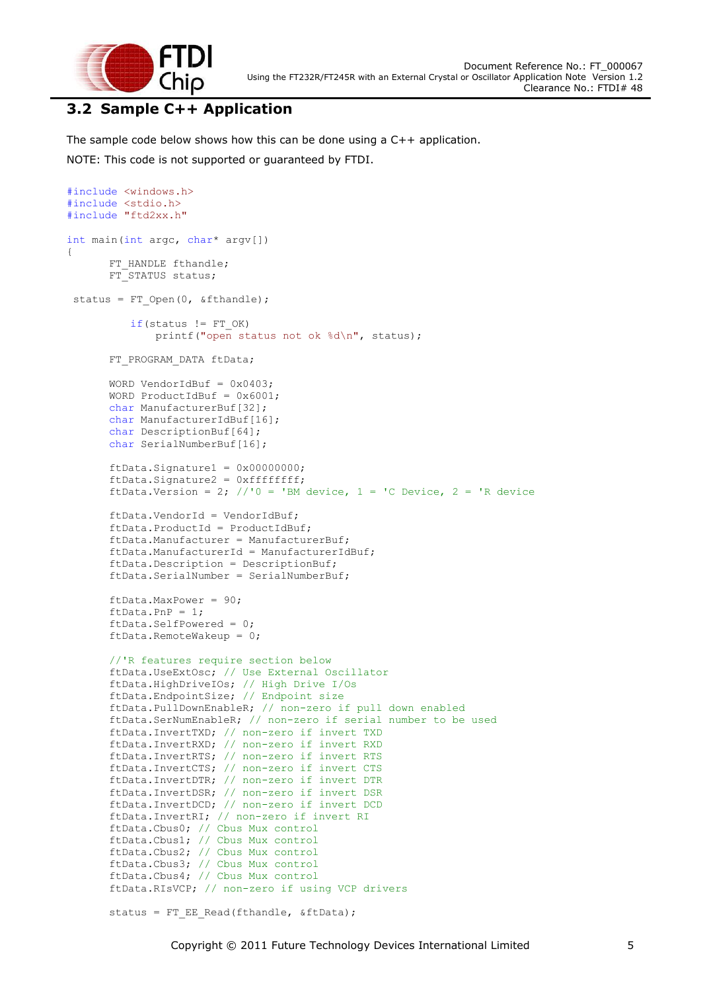

#include <windows.h>

## <span id="page-5-0"></span>**3.2 Sample C++ Application**

The sample code below shows how this can be done using a C++ application. NOTE: This code is not supported or guaranteed by FTDI.

```
#include <stdio.h>
#include "ftd2xx.h"
int main(int argc, char* argv[])
{
      FT HANDLE fthandle;
      FT_STATUS status;
 status = FT_Open(0, &fthandle);
          if(status != FT OK) printf("open status not ok %d\n", status);
      FT_PROGRAM_DATA ftData;
      WORD VendorIdBuf = 0 \times 0403;
      WORD ProductIdBuf = 0 \times 6001;
      char ManufacturerBuf[32];
      char ManufacturerIdBuf[16];
      char DescriptionBuf[64];
      char SerialNumberBuf[16];
      ftData.Signature1 = 0x00000000;ftData.Signature2 = 0xffffffff;
      ftData.Version = 2; //'0 = 'BM device, 1 = 'C Device, 2 = 'R device
      ftData.VendorId = VendorIdBuf;
      ftData.ProductId = ProductIdBuf;
      ftData.Manufacturer = ManufacturerBuf;
      ftData.ManufacturerId = ManufacturerIdBuf;
      ftData.Description = DescriptionBuf;
      ftData.SerialNumber = SerialNumberBuf;
      ftData.MaxPower = 90; 
      ftData.PnP = 1; 
      ftData.SelfPowered = 0; 
      ftData.RemoteWakeup = 0;
       //'R features require section below
      ftData.UseExtOsc; // Use External Oscillator
       ftData.HighDriveIOs; // High Drive I/Os
      ftData.EndpointSize; // Endpoint size
       ftData.PullDownEnableR; // non-zero if pull down enabled
       ftData.SerNumEnableR; // non-zero if serial number to be used
      ftData.InvertTXD; // non-zero if invert TXD
      ftData.InvertRXD; // non-zero if invert RXD
      ftData.InvertRTS; // non-zero if invert RTS
      ftData.InvertCTS; // non-zero if invert CTS
       ftData.InvertDTR; // non-zero if invert DTR
       ftData.InvertDSR; // non-zero if invert DSR
      ftData.InvertDCD; // non-zero if invert DCD
      ftData.InvertRI; // non-zero if invert RI
      ftData.Cbus0; // Cbus Mux control
      ftData.Cbus1; // Cbus Mux control
       ftData.Cbus2; // Cbus Mux control
      ftData.Cbus3; // Cbus Mux control
      ftData.Cbus4; // Cbus Mux control
      ftData.RIsVCP; // non-zero if using VCP drivers
      status = FT_EE_Read(fthandle, &ftData);
```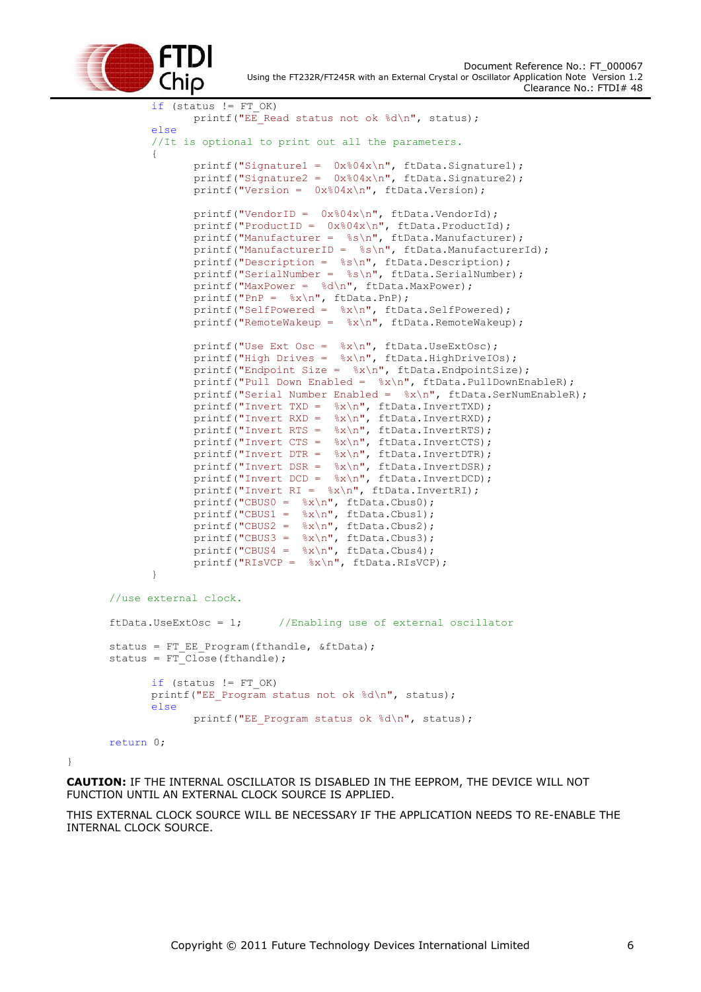

```
if (status != FT OK)
              printf("EE Read status not ok %d\n", status);
       else 
       //It is optional to print out all the parameters.
       {
              printf("Signature1 = 0x804x\ln", ftData.Signature1);
              printf("Signature2 = 0x804x\ln", ftData.Signature2);
              printf("Version = 0x%04x\n", ftData.Version);
              printf("VendorID = 0x\frac{0}{x}\ln", ftData.VendorId);
              printf("ProductID = 0x\04x\n", ftData.ProductId);
              printf("Manufacturer = \sin", ftData.Manufacturer);
              printf("ManufacturerID = %s\n", ftData.ManufacturerId);
              printf("Description = %s\n", ftData.Description);
              printf("SerialNumber = %s\n", ftData.SerialNumber);
              printf("MaxPower = %d\n", ftData.MaxPower);
              printf("PnP = \&x\n", ftData.PnP);
              printf("SelfPowered = \frac{8x}{n}, ftData.SelfPowered);
              printf("RemoteWakeup = \frac{1}{8}x\n\cdot n", ftData.RemoteWakeup);
              printf("Use Ext Osc = %x\n", ftData.UseExtOsc);
              printf("High Drives = \frac{8}{x}\n\pi, ftData.HighDriveIOs);
              printf("Endpoint Size = \frac{8}{x}\ln", ftData.EndpointSize);
              printf("Pull Down Enabled = \frac{8x}{n}, ftData.PullDownEnableR);
              printf("Serial Number Enabled = \frac{1}{8}x\n\cdot \n\cdot, ftData.SerNumEnableR);
              printf("Invert TXD = %x\n", ftData.InvertTXD);
              printf("Invert RXD = %x\n", ftData.InvertRXD);
              printf("Invert RTS = \frac{8x}{n}, ftData.InvertRTS);
              printf("Invert CTS = %x\n", ftData.InvertCTS);
              printf("Invert DTR = %x\n", ftData.InvertDTR);
              printf("Invert DSR = \frac{8}{x}\nright", ftData.InvertDSR);
              printf("Invert DCD = %x\n", ftData.InvertDCD);
              printf("Invert RI = %x\n", ftData.InvertRI);
              printf("CBUS0 = \&x\n", ftData.Cbus0);
              printf("CBUS1 = \frac{1}{8}x\ln", ftData.Cbus1);
              printf("CBUS2 = \frac{1}{8}x\pi", ftData.Cbus2);
              printf("CBUS3 = \frac{1}{8}x\ln", ftData.Cbus3);
              printf("CBUS4 = \frac{8x}{n}, ftData.Cbus4);
              printf("RIsVCP = \frac{8x}{n}, ftData.RIsVCP);
       }
//use external clock.
ftData.UseExtOsc = 1; //Enabling use of external oscillator
status = FT_EE_Program(fthandle, &ftData);
status = FTClose(fthandle);
       if (status != FT OK)
       printf("EE_Program status not ok %d\n", status);
       else
              printf("EE_Program status ok %d\n", status);
```
return 0;

}

**CAUTION:** IF THE INTERNAL OSCILLATOR IS DISABLED IN THE EEPROM, THE DEVICE WILL NOT FUNCTION UNTIL AN EXTERNAL CLOCK SOURCE IS APPLIED.

THIS EXTERNAL CLOCK SOURCE WILL BE NECESSARY IF THE APPLICATION NEEDS TO RE-ENABLE THE INTERNAL CLOCK SOURCE.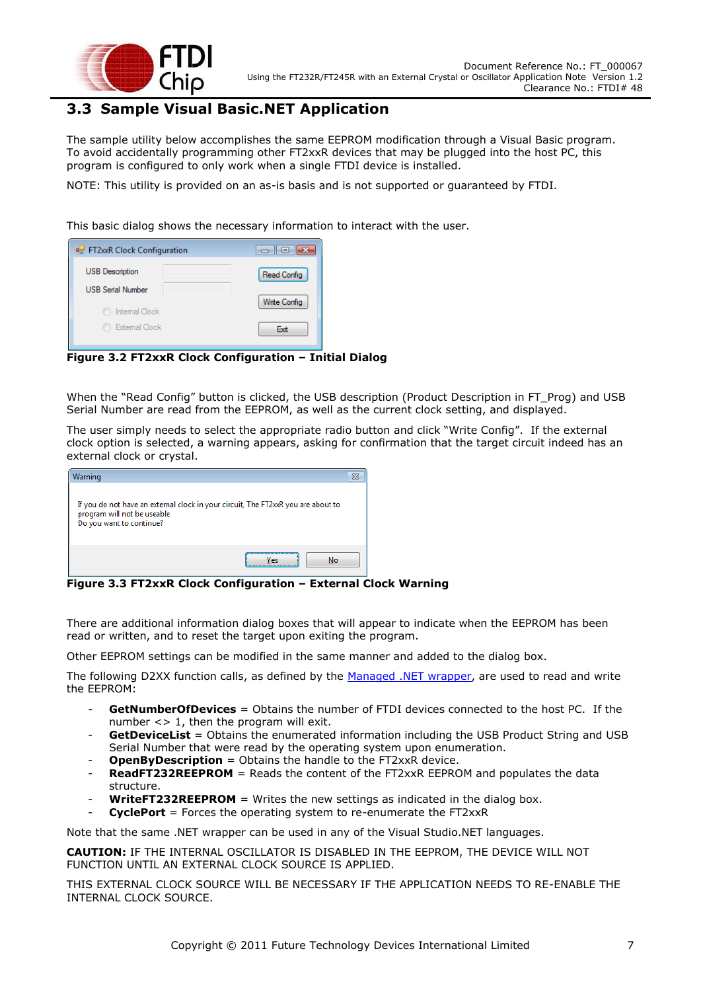

### <span id="page-7-0"></span>**3.3 Sample Visual Basic.NET Application**

The sample utility below accomplishes the same EEPROM modification through a Visual Basic program. To avoid accidentally programming other FT2xxR devices that may be plugged into the host PC, this program is configured to only work when a single FTDI device is installed.

NOTE: This utility is provided on an as-is basis and is not supported or guaranteed by FTDI.

This basic dialog shows the necessary information to interact with the user.

| <b>PH</b> FT2xxR Clock Configuration | وكالمود             |
|--------------------------------------|---------------------|
| <b>USB</b> Description               | Read Config         |
| <b>USB Serial Number</b>             | <b>Write Config</b> |
| Internal Clock                       |                     |
| External Clock                       | Exit                |

<span id="page-7-1"></span>**Figure 3.2 FT2xxR Clock Configuration – Initial Dialog**

When the "Read Config" button is clicked, the USB description (Product Description in FT\_Prog) and USB Serial Number are read from the EEPROM, as well as the current clock setting, and displayed.

The user simply needs to select the appropriate radio button and click "Write Config". If the external clock option is selected, a warning appears, asking for confirmation that the target circuit indeed has an external clock or crystal.

| Warning                                                                                                                                      |    |  |
|----------------------------------------------------------------------------------------------------------------------------------------------|----|--|
| If you do not have an external clock in your circuit, The FT2xxR you are about to<br>program will not be useable<br>Do you want to continue? |    |  |
|                                                                                                                                              | No |  |

<span id="page-7-2"></span>**Figure 3.3 FT2xxR Clock Configuration – External Clock Warning**

There are additional information dialog boxes that will appear to indicate when the EEPROM has been read or written, and to reset the target upon exiting the program.

Other EEPROM settings can be modified in the same manner and added to the dialog box.

The following D2XX function calls, as defined by the [Managed .NET wrapper,](http://www.ftdichip.com/Support/SoftwareExamples/CodeExamples/CSharp/FTD2XX_NET_1010.zip) are used to read and write the EEPROM:

- **GetNumberOfDevices** = Obtains the number of FTDI devices connected to the host PC. If the number <> 1, then the program will exit.
- **GetDeviceList** = Obtains the enumerated information including the USB Product String and USB Serial Number that were read by the operating system upon enumeration.
- **OpenByDescription** = Obtains the handle to the FT2xxR device.
- **ReadFT232REEPROM** = Reads the content of the FT2xxR EEPROM and populates the data structure.
- **WriteFT232REEPROM** = Writes the new settings as indicated in the dialog box.
- **CyclePort** = Forces the operating system to re-enumerate the FT2xxR

Note that the same .NET wrapper can be used in any of the Visual Studio.NET languages.

**CAUTION:** IF THE INTERNAL OSCILLATOR IS DISABLED IN THE EEPROM, THE DEVICE WILL NOT FUNCTION UNTIL AN EXTERNAL CLOCK SOURCE IS APPLIED.

THIS EXTERNAL CLOCK SOURCE WILL BE NECESSARY IF THE APPLICATION NEEDS TO RE-ENABLE THE INTERNAL CLOCK SOURCE.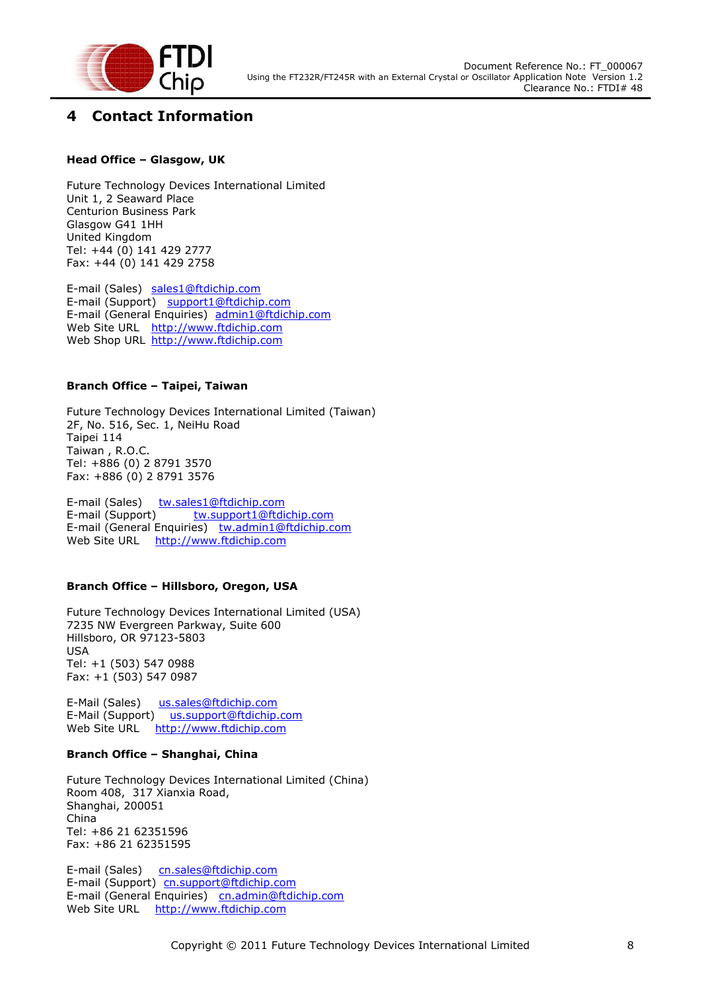

## <span id="page-8-0"></span>**4 Contact Information**

#### **Head Office – Glasgow, UK**

Future Technology Devices International Limited Unit 1, 2 Seaward Place Centurion Business Park Glasgow G41 1HH United Kingdom Tel: +44 (0) 141 429 2777 Fax: +44 (0) 141 429 2758

E-mail (Sales) [sales1@ftdichip.com](mailto:sales1@ftdichip.com) E-mail (Support) [support1@ftdichip.com](mailto:support1@ftdichip.com) E-mail (General Enquiries) [admin1@ftdichip.com](mailto:admin1@ftdichip.com) Web Site URL [http://www.ftdichip.com](http://www.ftdichip.com/) Web Shop URL [http://www.ftdichip.com](http://www.ftdichip.com/)

#### **Branch Office – Taipei, Taiwan**

Future Technology Devices International Limited (Taiwan) 2F, No. 516, Sec. 1, NeiHu Road Taipei 114 Taiwan , R.O.C. Tel: +886 (0) 2 8791 3570 Fax: +886 (0) 2 8791 3576

E-mail (Sales) [tw.sales1@ftdichip.com](mailto:tw.sales1@ftdichip.com) E-mail (Support) [tw.support1@ftdichip.com](mailto:tw.support1@ftdichip.com) E-mail (General Enquiries) [tw.admin1@ftdichip.com](mailto:tw.admin1@ftdichip.com) Web Site URL [http://www.ftdichip.com](http://www.ftdichip.com/)

#### **Branch Office – Hillsboro, Oregon, USA**

Future Technology Devices International Limited (USA) 7235 NW Evergreen Parkway, Suite 600 Hillsboro, OR 97123-5803 USA Tel: +1 (503) 547 0988 Fax: +1 (503) 547 0987

E-Mail (Sales) [us.sales@ftdichip.com](mailto:us.sales@ftdichip.com) E-Mail (Support) [us.support@ftdichip.com](mailto:us.support@ftdichip.com) Web Site URL [http://www.ftdichip.com](http://www.ftdichip.com/)

#### **Branch Office – Shanghai, China**

Future Technology Devices International Limited (China) Room 408, 317 Xianxia Road, Shanghai, 200051 China Tel: +86 21 62351596 Fax: +86 21 62351595

E-mail (Sales) [cn.sales@ftdichip.com](mailto:cn.sales@ftdichip.com) E-mail (Support)[cn.support@ftdichip.com](mailto:cn.support@ftdichip.com) E-mail (General Enquiries) [cn.admin@ftdichip.com](mailto:cn.admin@ftdichip.com) Web Site URL [http://www.ftdichip.com](http://www.ftdichip.com/)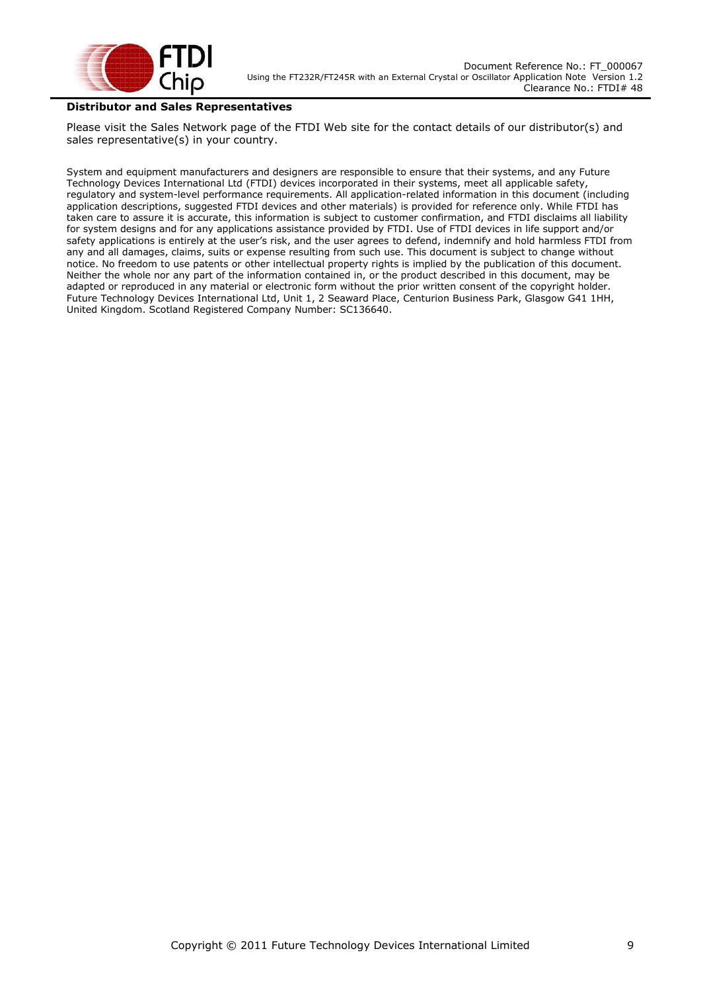

#### **Distributor and Sales Representatives**

Please visit the Sales Network page of the FTDI Web site for the contact details of our distributor(s) and sales representative(s) in your country.

System and equipment manufacturers and designers are responsible to ensure that their systems, and any Future Technology Devices International Ltd (FTDI) devices incorporated in their systems, meet all applicable safety, regulatory and system-level performance requirements. All application-related information in this document (including application descriptions, suggested FTDI devices and other materials) is provided for reference only. While FTDI has taken care to assure it is accurate, this information is subject to customer confirmation, and FTDI disclaims all liability for system designs and for any applications assistance provided by FTDI. Use of FTDI devices in life support and/or safety applications is entirely at the user"s risk, and the user agrees to defend, indemnify and hold harmless FTDI from any and all damages, claims, suits or expense resulting from such use. This document is subject to change without notice. No freedom to use patents or other intellectual property rights is implied by the publication of this document. Neither the whole nor any part of the information contained in, or the product described in this document, may be adapted or reproduced in any material or electronic form without the prior written consent of the copyright holder. Future Technology Devices International Ltd, Unit 1, 2 Seaward Place, Centurion Business Park, Glasgow G41 1HH, United Kingdom. Scotland Registered Company Number: SC136640.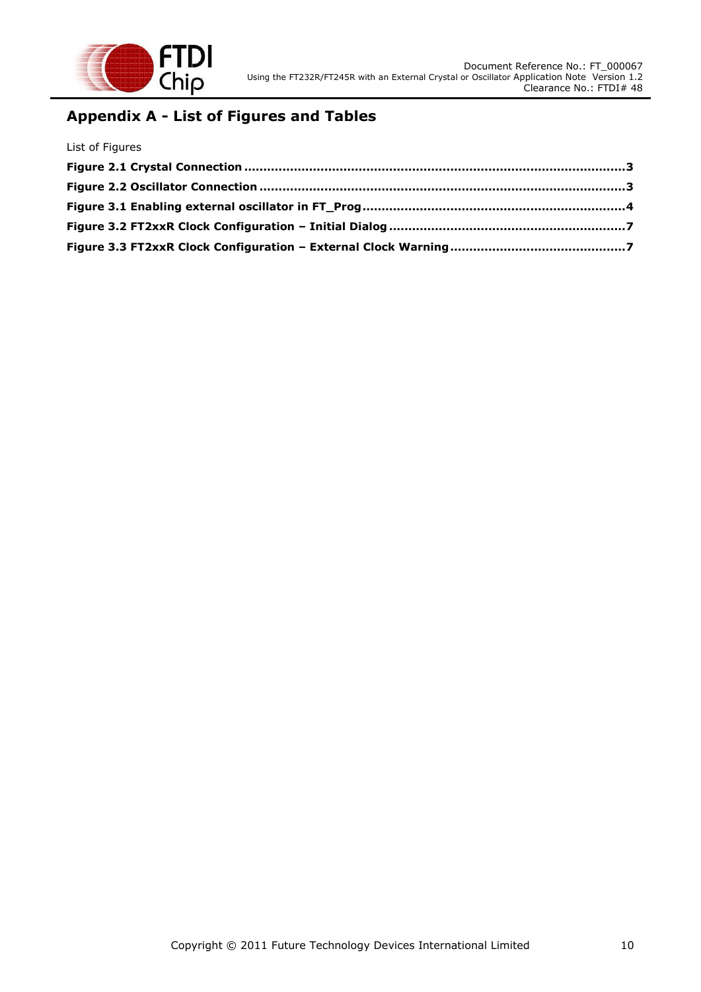

## <span id="page-10-0"></span>**Appendix A - List of Figures and Tables**

| List of Figures |  |
|-----------------|--|
|                 |  |
|                 |  |
|                 |  |
|                 |  |
|                 |  |